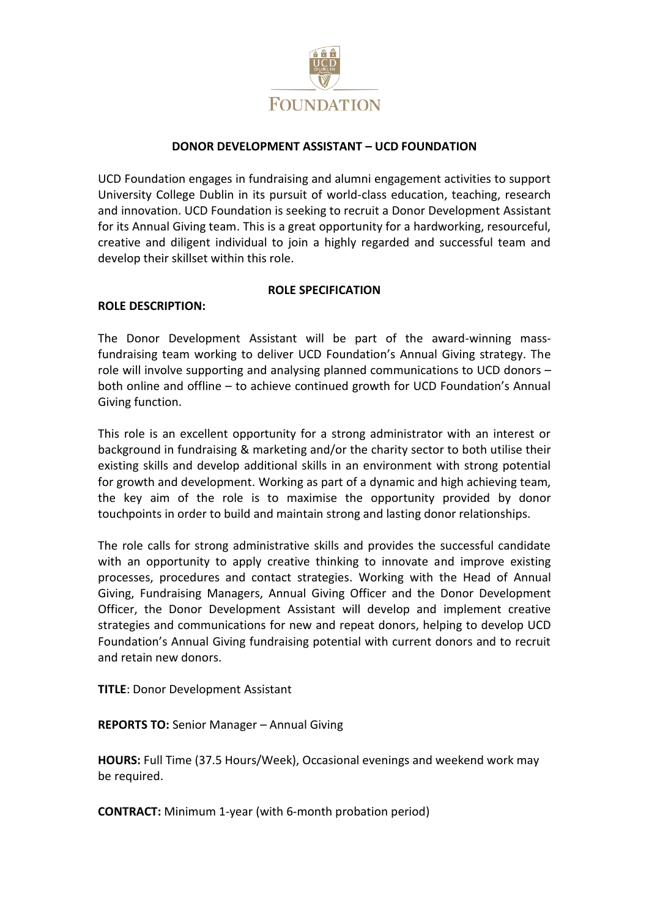

### **DONOR DEVELOPMENT ASSISTANT – UCD FOUNDATION**

UCD Foundation engages in fundraising and alumni engagement activities to support University College Dublin in its pursuit of world-class education, teaching, research and innovation. UCD Foundation is seeking to recruit a Donor Development Assistant for its Annual Giving team. This is a great opportunity for a hardworking, resourceful, creative and diligent individual to join a highly regarded and successful team and develop their skillset within this role.

#### **ROLE SPECIFICATION**

## **ROLE DESCRIPTION:**

The Donor Development Assistant will be part of the award-winning massfundraising team working to deliver UCD Foundation's Annual Giving strategy. The role will involve supporting and analysing planned communications to UCD donors – both online and offline – to achieve continued growth for UCD Foundation's Annual Giving function.

This role is an excellent opportunity for a strong administrator with an interest or background in fundraising & marketing and/or the charity sector to both utilise their existing skills and develop additional skills in an environment with strong potential for growth and development. Working as part of a dynamic and high achieving team, the key aim of the role is to maximise the opportunity provided by donor touchpoints in order to build and maintain strong and lasting donor relationships.

The role calls for strong administrative skills and provides the successful candidate with an opportunity to apply creative thinking to innovate and improve existing processes, procedures and contact strategies. Working with the Head of Annual Giving, Fundraising Managers, Annual Giving Officer and the Donor Development Officer, the Donor Development Assistant will develop and implement creative strategies and communications for new and repeat donors, helping to develop UCD Foundation's Annual Giving fundraising potential with current donors and to recruit and retain new donors.

**TITLE**: Donor Development Assistant

**REPORTS TO:** Senior Manager – Annual Giving

**HOURS:** Full Time (37.5 Hours/Week), Occasional evenings and weekend work may be required.

**CONTRACT:** Minimum 1-year (with 6-month probation period)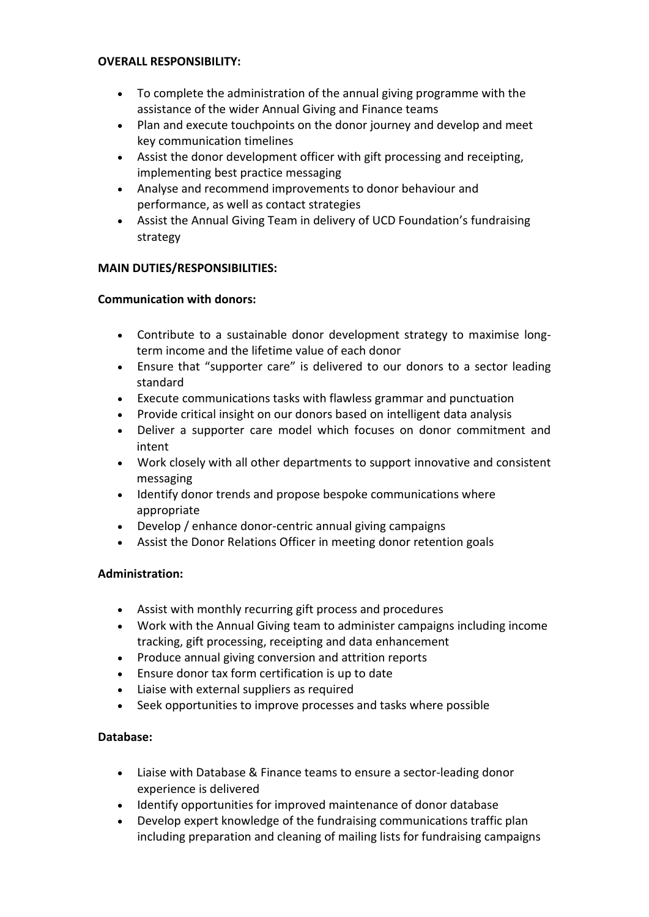#### **OVERALL RESPONSIBILITY:**

- To complete the administration of the annual giving programme with the assistance of the wider Annual Giving and Finance teams
- Plan and execute touchpoints on the donor journey and develop and meet key communication timelines
- Assist the donor development officer with gift processing and receipting, implementing best practice messaging
- Analyse and recommend improvements to donor behaviour and performance, as well as contact strategies
- Assist the Annual Giving Team in delivery of UCD Foundation's fundraising strategy

### **MAIN DUTIES/RESPONSIBILITIES:**

### **Communication with donors:**

- Contribute to a sustainable donor development strategy to maximise longterm income and the lifetime value of each donor
- Ensure that "supporter care" is delivered to our donors to a sector leading standard
- Execute communications tasks with flawless grammar and punctuation
- Provide critical insight on our donors based on intelligent data analysis
- Deliver a supporter care model which focuses on donor commitment and intent
- Work closely with all other departments to support innovative and consistent messaging
- Identify donor trends and propose bespoke communications where appropriate
- Develop / enhance donor-centric annual giving campaigns
- Assist the Donor Relations Officer in meeting donor retention goals

## **Administration:**

- Assist with monthly recurring gift process and procedures
- Work with the Annual Giving team to administer campaigns including income tracking, gift processing, receipting and data enhancement
- Produce annual giving conversion and attrition reports
- Ensure donor tax form certification is up to date
- Liaise with external suppliers as required
- Seek opportunities to improve processes and tasks where possible

## **Database:**

- Liaise with Database & Finance teams to ensure a sector-leading donor experience is delivered
- Identify opportunities for improved maintenance of donor database
- Develop expert knowledge of the fundraising communications traffic plan including preparation and cleaning of mailing lists for fundraising campaigns